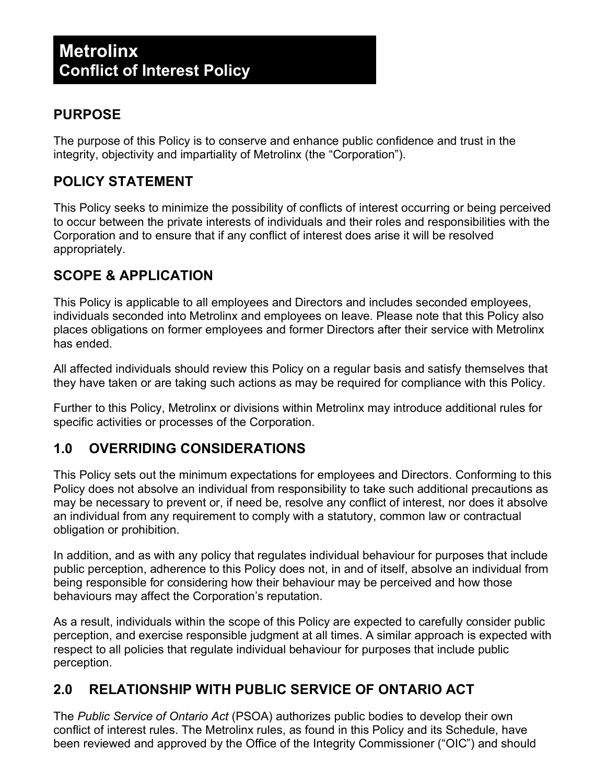## **PURPOSE**

The purpose of this Policy is to conserve and enhance public confidence and trust in the integrity, objectivity and impartiality of Metrolinx (the "Corporation").

## **POLICY STATEMENT**

This Policy seeks to minimize the possibility of conflicts of interest occurring or being perceived to occur between the private interests of individuals and their roles and responsibilities with the Corporation and to ensure that if any conflict of interest does arise it will be resolved appropriately.

# **SCOPE & APPLICATION**

This Policy is applicable to all employees and Directors and includes seconded employees, individuals seconded into Metrolinx and employees on leave. Please note that this Policy also places obligations on former employees and former Directors after their service with Metrolinx has ended.

All affected individuals should review this Policy on a regular basis and satisfy themselves that they have taken or are taking such actions as may be required for compliance with this Policy.

Further to this Policy, Metrolinx or divisions within Metrolinx may introduce additional rules for specific activities or processes of the Corporation.

## **1.0 OVERRIDING CONSIDERATIONS**

This Policy sets out the minimum expectations for employees and Directors. Conforming to this Policy does not absolve an individual from responsibility to take such additional precautions as may be necessary to prevent or, if need be, resolve any conflict of interest, nor does it absolve an individual from any requirement to comply with a statutory, common law or contractual obligation or prohibition.

In addition, and as with any policy that regulates individual behaviour for purposes that include public perception, adherence to this Policy does not, in and of itself, absolve an individual from being responsible for considering how their behaviour may be perceived and how those behaviours may affect the Corporation's reputation.

As a result, individuals within the scope of this Policy are expected to carefully consider public perception, and exercise responsible judgment at all times. A similar approach is expected with respect to all policies that regulate individual behaviour for purposes that include public perception.

## **2.0 RELATIONSHIP WITH PUBLIC SERVICE OF ONTARIO ACT**

The *Public Service of Ontario Act* (PSOA) authorizes public bodies to develop their own conflict of interest rules. The Metrolinx rules, as found in this Policy and its Schedule, have been reviewed and approved by the Office of the Integrity Commissioner ("OIC") and should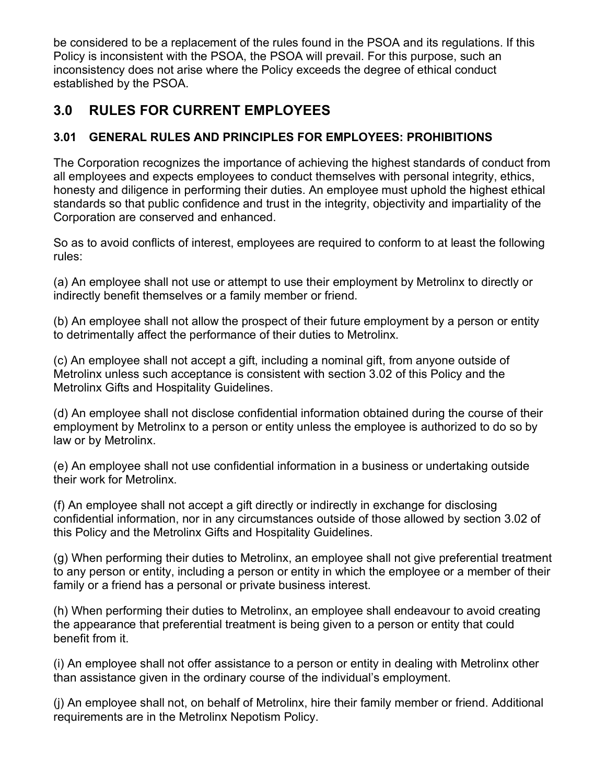be considered to be a replacement of the rules found in the PSOA and its regulations. If this Policy is inconsistent with the PSOA, the PSOA will prevail. For this purpose, such an inconsistency does not arise where the Policy exceeds the degree of ethical conduct established by the PSOA.

# **3.0 RULES FOR CURRENT EMPLOYEES**

## **3.01 GENERAL RULES AND PRINCIPLES FOR EMPLOYEES: PROHIBITIONS**

The Corporation recognizes the importance of achieving the highest standards of conduct from all employees and expects employees to conduct themselves with personal integrity, ethics, honesty and diligence in performing their duties. An employee must uphold the highest ethical standards so that public confidence and trust in the integrity, objectivity and impartiality of the Corporation are conserved and enhanced.

So as to avoid conflicts of interest, employees are required to conform to at least the following rules:

(a) An employee shall not use or attempt to use their employment by Metrolinx to directly or indirectly benefit themselves or a family member or friend.

(b) An employee shall not allow the prospect of their future employment by a person or entity to detrimentally affect the performance of their duties to Metrolinx.

(c) An employee shall not accept a gift, including a nominal gift, from anyone outside of Metrolinx unless such acceptance is consistent with section 3.02 of this Policy and the Metrolinx Gifts and Hospitality Guidelines.

(d) An employee shall not disclose confidential information obtained during the course of their employment by Metrolinx to a person or entity unless the employee is authorized to do so by law or by Metrolinx.

(e) An employee shall not use confidential information in a business or undertaking outside their work for Metrolinx.

(f) An employee shall not accept a gift directly or indirectly in exchange for disclosing confidential information, nor in any circumstances outside of those allowed by section 3.02 of this Policy and the Metrolinx Gifts and Hospitality Guidelines.

(g) When performing their duties to Metrolinx, an employee shall not give preferential treatment to any person or entity, including a person or entity in which the employee or a member of their family or a friend has a personal or private business interest.

(h) When performing their duties to Metrolinx, an employee shall endeavour to avoid creating the appearance that preferential treatment is being given to a person or entity that could benefit from it.

(i) An employee shall not offer assistance to a person or entity in dealing with Metrolinx other than assistance given in the ordinary course of the individual's employment.

(j) An employee shall not, on behalf of Metrolinx, hire their family member or friend. Additional requirements are in the Metrolinx Nepotism Policy.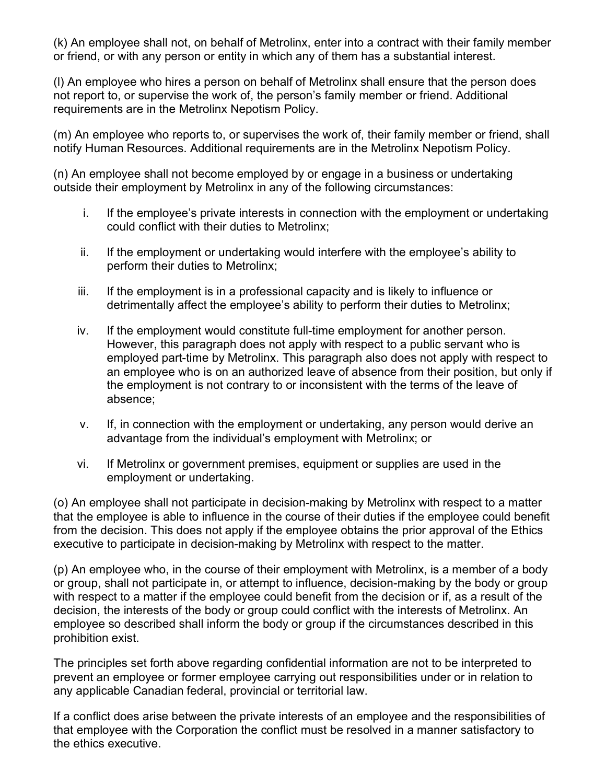(k) An employee shall not, on behalf of Metrolinx, enter into a contract with their family member or friend, or with any person or entity in which any of them has a substantial interest.

(l) An employee who hires a person on behalf of Metrolinx shall ensure that the person does not report to, or supervise the work of, the person's family member or friend. Additional requirements are in the Metrolinx Nepotism Policy.

(m) An employee who reports to, or supervises the work of, their family member or friend, shall notify Human Resources. Additional requirements are in the Metrolinx Nepotism Policy.

(n) An employee shall not become employed by or engage in a business or undertaking outside their employment by Metrolinx in any of the following circumstances:

- i. If the employee's private interests in connection with the employment or undertaking could conflict with their duties to Metrolinx;
- ii. If the employment or undertaking would interfere with the employee's ability to perform their duties to Metrolinx;
- iii. If the employment is in a professional capacity and is likely to influence or detrimentally affect the employee's ability to perform their duties to Metrolinx;
- iv. If the employment would constitute full-time employment for another person. However, this paragraph does not apply with respect to a public servant who is employed part-time by Metrolinx. This paragraph also does not apply with respect to an employee who is on an authorized leave of absence from their position, but only if the employment is not contrary to or inconsistent with the terms of the leave of absence;
- v. If, in connection with the employment or undertaking, any person would derive an advantage from the individual's employment with Metrolinx; or
- vi. If Metrolinx or government premises, equipment or supplies are used in the employment or undertaking.

(o) An employee shall not participate in decision-making by Metrolinx with respect to a matter that the employee is able to influence in the course of their duties if the employee could benefit from the decision. This does not apply if the employee obtains the prior approval of the Ethics executive to participate in decision-making by Metrolinx with respect to the matter.

(p) An employee who, in the course of their employment with Metrolinx, is a member of a body or group, shall not participate in, or attempt to influence, decision-making by the body or group with respect to a matter if the employee could benefit from the decision or if, as a result of the decision, the interests of the body or group could conflict with the interests of Metrolinx. An employee so described shall inform the body or group if the circumstances described in this prohibition exist.

The principles set forth above regarding confidential information are not to be interpreted to prevent an employee or former employee carrying out responsibilities under or in relation to any applicable Canadian federal, provincial or territorial law.

If a conflict does arise between the private interests of an employee and the responsibilities of that employee with the Corporation the conflict must be resolved in a manner satisfactory to the ethics executive.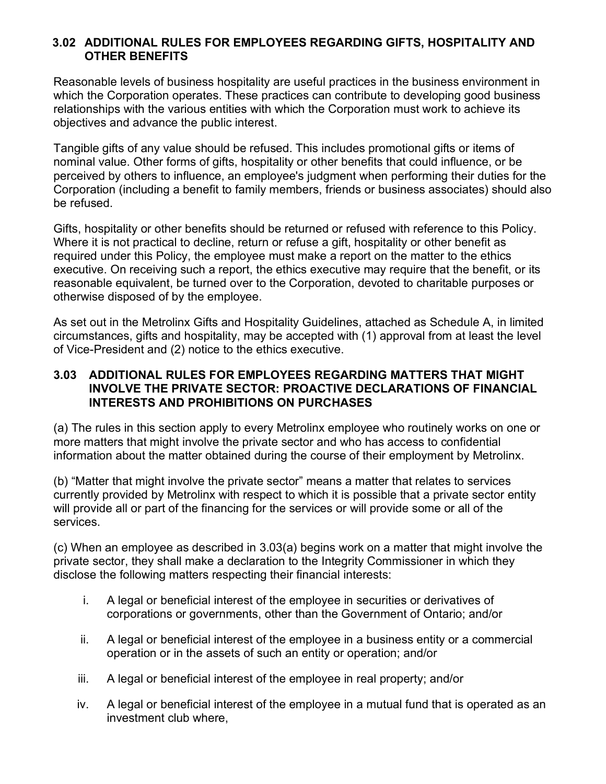#### **3.02 ADDITIONAL RULES FOR EMPLOYEES REGARDING GIFTS, HOSPITALITY AND OTHER BENEFITS**

Reasonable levels of business hospitality are useful practices in the business environment in which the Corporation operates. These practices can contribute to developing good business relationships with the various entities with which the Corporation must work to achieve its objectives and advance the public interest.

Tangible gifts of any value should be refused. This includes promotional gifts or items of nominal value. Other forms of gifts, hospitality or other benefits that could influence, or be perceived by others to influence, an employee's judgment when performing their duties for the Corporation (including a benefit to family members, friends or business associates) should also be refused.

Gifts, hospitality or other benefits should be returned or refused with reference to this Policy. Where it is not practical to decline, return or refuse a gift, hospitality or other benefit as required under this Policy, the employee must make a report on the matter to the ethics executive. On receiving such a report, the ethics executive may require that the benefit, or its reasonable equivalent, be turned over to the Corporation, devoted to charitable purposes or otherwise disposed of by the employee.

As set out in the Metrolinx Gifts and Hospitality Guidelines, attached as Schedule A, in limited circumstances, gifts and hospitality, may be accepted with (1) approval from at least the level of Vice-President and (2) notice to the ethics executive.

#### **3.03 ADDITIONAL RULES FOR EMPLOYEES REGARDING MATTERS THAT MIGHT INVOLVE THE PRIVATE SECTOR: PROACTIVE DECLARATIONS OF FINANCIAL INTERESTS AND PROHIBITIONS ON PURCHASES**

(a) The rules in this section apply to every Metrolinx employee who routinely works on one or more matters that might involve the private sector and who has access to confidential information about the matter obtained during the course of their employment by Metrolinx.

(b) "Matter that might involve the private sector" means a matter that relates to services currently provided by Metrolinx with respect to which it is possible that a private sector entity will provide all or part of the financing for the services or will provide some or all of the services.

(c) When an employee as described in 3.03(a) begins work on a matter that might involve the private sector, they shall make a declaration to the Integrity Commissioner in which they disclose the following matters respecting their financial interests:

- i. A legal or beneficial interest of the employee in securities or derivatives of corporations or governments, other than the Government of Ontario; and/or
- ii. A legal or beneficial interest of the employee in a business entity or a commercial operation or in the assets of such an entity or operation; and/or
- iii. A legal or beneficial interest of the employee in real property; and/or
- iv. A legal or beneficial interest of the employee in a mutual fund that is operated as an investment club where,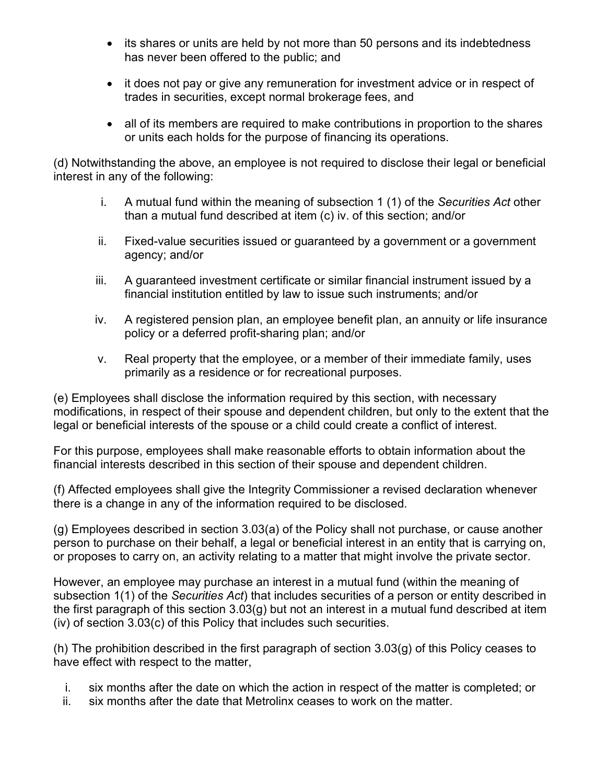- its shares or units are held by not more than 50 persons and its indebtedness has never been offered to the public; and
- it does not pay or give any remuneration for investment advice or in respect of trades in securities, except normal brokerage fees, and
- all of its members are required to make contributions in proportion to the shares or units each holds for the purpose of financing its operations.

(d) Notwithstanding the above, an employee is not required to disclose their legal or beneficial interest in any of the following:

- i. A mutual fund within the meaning of subsection 1 (1) of the *Securities Act* other than a mutual fund described at item (c) iv. of this section; and/or
- ii. Fixed-value securities issued or guaranteed by a government or a government agency; and/or
- iii. A guaranteed investment certificate or similar financial instrument issued by a financial institution entitled by law to issue such instruments; and/or
- iv. A registered pension plan, an employee benefit plan, an annuity or life insurance policy or a deferred profit-sharing plan; and/or
- v. Real property that the employee, or a member of their immediate family, uses primarily as a residence or for recreational purposes.

(e) Employees shall disclose the information required by this section, with necessary modifications, in respect of their spouse and dependent children, but only to the extent that the legal or beneficial interests of the spouse or a child could create a conflict of interest.

For this purpose, employees shall make reasonable efforts to obtain information about the financial interests described in this section of their spouse and dependent children.

(f) Affected employees shall give the Integrity Commissioner a revised declaration whenever there is a change in any of the information required to be disclosed.

(g) Employees described in section 3.03(a) of the Policy shall not purchase, or cause another person to purchase on their behalf, a legal or beneficial interest in an entity that is carrying on, or proposes to carry on, an activity relating to a matter that might involve the private sector.

However, an employee may purchase an interest in a mutual fund (within the meaning of subsection 1(1) of the *Securities Act*) that includes securities of a person or entity described in the first paragraph of this section 3.03(g) but not an interest in a mutual fund described at item (iv) of section 3.03(c) of this Policy that includes such securities.

(h) The prohibition described in the first paragraph of section 3.03(g) of this Policy ceases to have effect with respect to the matter,

- i. six months after the date on which the action in respect of the matter is completed; or
- ii. six months after the date that Metrolinx ceases to work on the matter.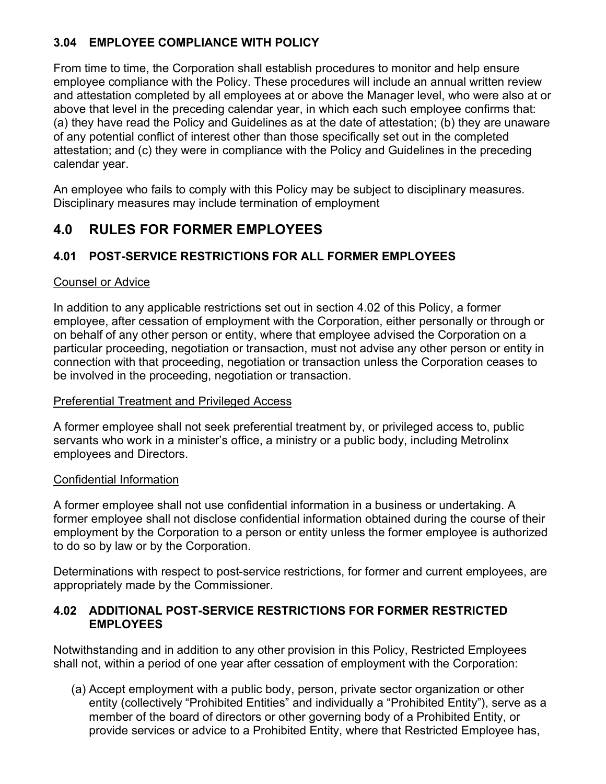## **3.04 EMPLOYEE COMPLIANCE WITH POLICY**

From time to time, the Corporation shall establish procedures to monitor and help ensure employee compliance with the Policy. These procedures will include an annual written review and attestation completed by all employees at or above the Manager level, who were also at or above that level in the preceding calendar year, in which each such employee confirms that: (a) they have read the Policy and Guidelines as at the date of attestation; (b) they are unaware of any potential conflict of interest other than those specifically set out in the completed attestation; and (c) they were in compliance with the Policy and Guidelines in the preceding calendar year.

An employee who fails to comply with this Policy may be subject to disciplinary measures. Disciplinary measures may include termination of employment

## **4.0 RULES FOR FORMER EMPLOYEES**

### **4.01 POST-SERVICE RESTRICTIONS FOR ALL FORMER EMPLOYEES**

### Counsel or Advice

In addition to any applicable restrictions set out in section 4.02 of this Policy, a former employee, after cessation of employment with the Corporation, either personally or through or on behalf of any other person or entity, where that employee advised the Corporation on a particular proceeding, negotiation or transaction, must not advise any other person or entity in connection with that proceeding, negotiation or transaction unless the Corporation ceases to be involved in the proceeding, negotiation or transaction.

### Preferential Treatment and Privileged Access

A former employee shall not seek preferential treatment by, or privileged access to, public servants who work in a minister's office, a ministry or a public body, including Metrolinx employees and Directors.

### Confidential Information

A former employee shall not use confidential information in a business or undertaking. A former employee shall not disclose confidential information obtained during the course of their employment by the Corporation to a person or entity unless the former employee is authorized to do so by law or by the Corporation.

Determinations with respect to post-service restrictions, for former and current employees, are appropriately made by the Commissioner.

### **4.02 ADDITIONAL POST-SERVICE RESTRICTIONS FOR FORMER RESTRICTED EMPLOYEES**

Notwithstanding and in addition to any other provision in this Policy, Restricted Employees shall not, within a period of one year after cessation of employment with the Corporation:

(a) Accept employment with a public body, person, private sector organization or other entity (collectively "Prohibited Entities" and individually a "Prohibited Entity"), serve as a member of the board of directors or other governing body of a Prohibited Entity, or provide services or advice to a Prohibited Entity, where that Restricted Employee has,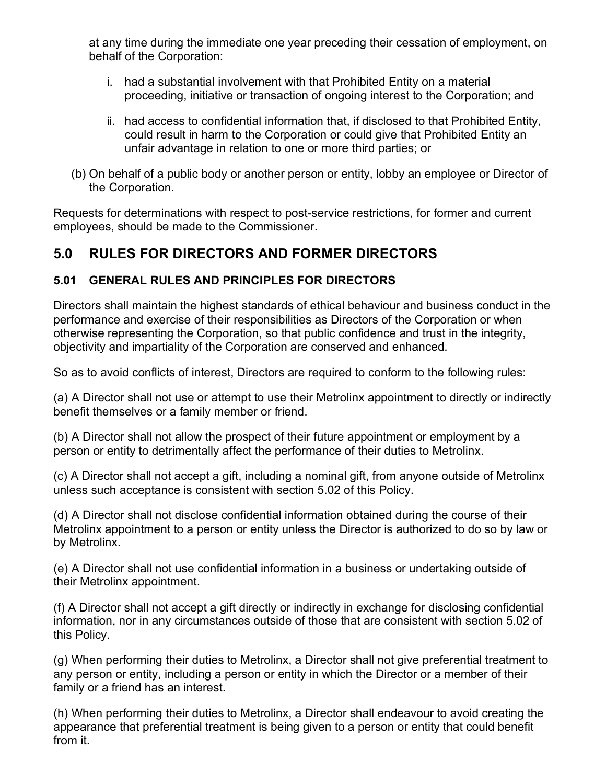at any time during the immediate one year preceding their cessation of employment, on behalf of the Corporation:

- i. had a substantial involvement with that Prohibited Entity on a material proceeding, initiative or transaction of ongoing interest to the Corporation; and
- ii. had access to confidential information that, if disclosed to that Prohibited Entity, could result in harm to the Corporation or could give that Prohibited Entity an unfair advantage in relation to one or more third parties; or
- (b) On behalf of a public body or another person or entity, lobby an employee or Director of the Corporation.

Requests for determinations with respect to post-service restrictions, for former and current employees, should be made to the Commissioner.

## **5.0 RULES FOR DIRECTORS AND FORMER DIRECTORS**

### **5.01 GENERAL RULES AND PRINCIPLES FOR DIRECTORS**

Directors shall maintain the highest standards of ethical behaviour and business conduct in the performance and exercise of their responsibilities as Directors of the Corporation or when otherwise representing the Corporation, so that public confidence and trust in the integrity, objectivity and impartiality of the Corporation are conserved and enhanced.

So as to avoid conflicts of interest, Directors are required to conform to the following rules:

(a) A Director shall not use or attempt to use their Metrolinx appointment to directly or indirectly benefit themselves or a family member or friend.

(b) A Director shall not allow the prospect of their future appointment or employment by a person or entity to detrimentally affect the performance of their duties to Metrolinx.

(c) A Director shall not accept a gift, including a nominal gift, from anyone outside of Metrolinx unless such acceptance is consistent with section 5.02 of this Policy.

(d) A Director shall not disclose confidential information obtained during the course of their Metrolinx appointment to a person or entity unless the Director is authorized to do so by law or by Metrolinx.

(e) A Director shall not use confidential information in a business or undertaking outside of their Metrolinx appointment.

(f) A Director shall not accept a gift directly or indirectly in exchange for disclosing confidential information, nor in any circumstances outside of those that are consistent with section 5.02 of this Policy.

(g) When performing their duties to Metrolinx, a Director shall not give preferential treatment to any person or entity, including a person or entity in which the Director or a member of their family or a friend has an interest.

(h) When performing their duties to Metrolinx, a Director shall endeavour to avoid creating the appearance that preferential treatment is being given to a person or entity that could benefit from it.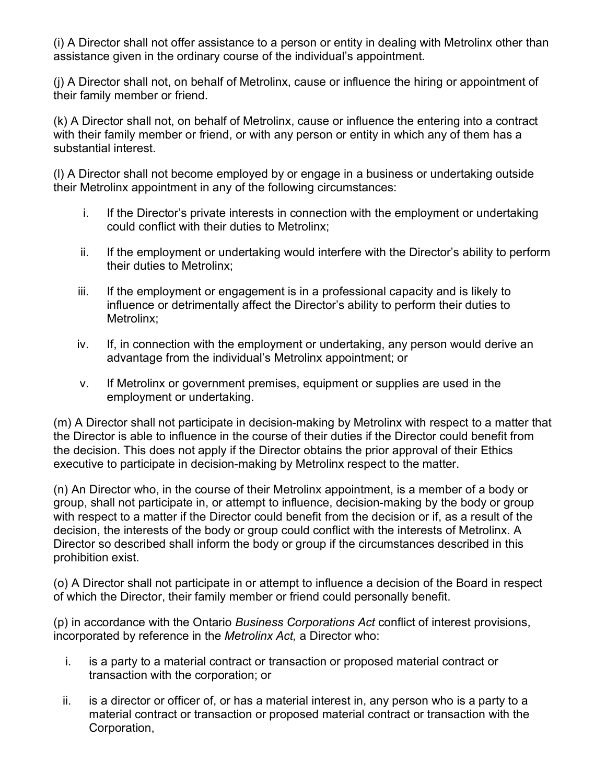(i) A Director shall not offer assistance to a person or entity in dealing with Metrolinx other than assistance given in the ordinary course of the individual's appointment.

(j) A Director shall not, on behalf of Metrolinx, cause or influence the hiring or appointment of their family member or friend.

(k) A Director shall not, on behalf of Metrolinx, cause or influence the entering into a contract with their family member or friend, or with any person or entity in which any of them has a substantial interest.

(l) A Director shall not become employed by or engage in a business or undertaking outside their Metrolinx appointment in any of the following circumstances:

- i. If the Director's private interests in connection with the employment or undertaking could conflict with their duties to Metrolinx;
- ii. If the employment or undertaking would interfere with the Director's ability to perform their duties to Metrolinx;
- iii. If the employment or engagement is in a professional capacity and is likely to influence or detrimentally affect the Director's ability to perform their duties to Metrolinx;
- iv. If, in connection with the employment or undertaking, any person would derive an advantage from the individual's Metrolinx appointment; or
- v. If Metrolinx or government premises, equipment or supplies are used in the employment or undertaking.

(m) A Director shall not participate in decision-making by Metrolinx with respect to a matter that the Director is able to influence in the course of their duties if the Director could benefit from the decision. This does not apply if the Director obtains the prior approval of their Ethics executive to participate in decision-making by Metrolinx respect to the matter.

(n) An Director who, in the course of their Metrolinx appointment, is a member of a body or group, shall not participate in, or attempt to influence, decision-making by the body or group with respect to a matter if the Director could benefit from the decision or if, as a result of the decision, the interests of the body or group could conflict with the interests of Metrolinx. A Director so described shall inform the body or group if the circumstances described in this prohibition exist.

(o) A Director shall not participate in or attempt to influence a decision of the Board in respect of which the Director, their family member or friend could personally benefit.

(p) in accordance with the Ontario *Business Corporations Act* conflict of interest provisions, incorporated by reference in the *Metrolinx Act,* a Director who:

- i. is a party to a material contract or transaction or proposed material contract or transaction with the corporation; or
- ii. is a director or officer of, or has a material interest in, any person who is a party to a material contract or transaction or proposed material contract or transaction with the Corporation,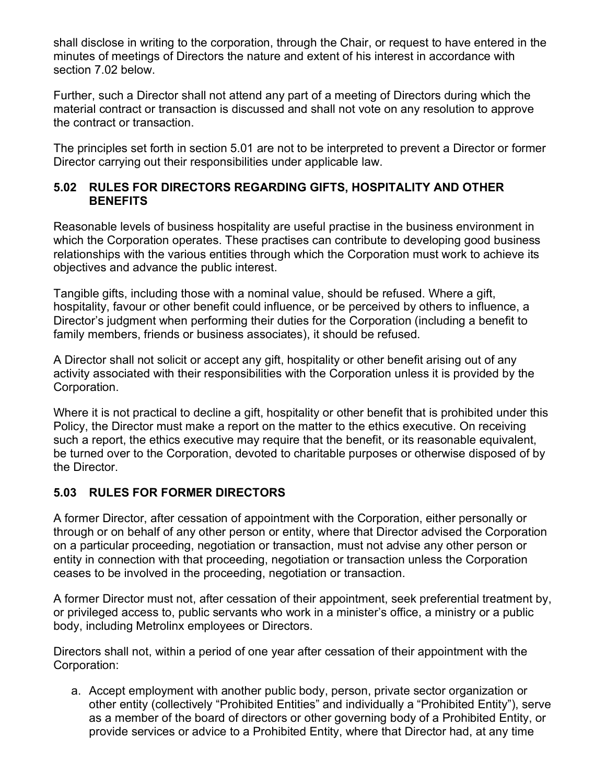shall disclose in writing to the corporation, through the Chair, or request to have entered in the minutes of meetings of Directors the nature and extent of his interest in accordance with section 7.02 below.

Further, such a Director shall not attend any part of a meeting of Directors during which the material contract or transaction is discussed and shall not vote on any resolution to approve the contract or transaction.

The principles set forth in section 5.01 are not to be interpreted to prevent a Director or former Director carrying out their responsibilities under applicable law.

#### **5.02 RULES FOR DIRECTORS REGARDING GIFTS, HOSPITALITY AND OTHER BENEFITS**

Reasonable levels of business hospitality are useful practise in the business environment in which the Corporation operates. These practises can contribute to developing good business relationships with the various entities through which the Corporation must work to achieve its objectives and advance the public interest.

Tangible gifts, including those with a nominal value, should be refused. Where a gift, hospitality, favour or other benefit could influence, or be perceived by others to influence, a Director's judgment when performing their duties for the Corporation (including a benefit to family members, friends or business associates), it should be refused.

A Director shall not solicit or accept any gift, hospitality or other benefit arising out of any activity associated with their responsibilities with the Corporation unless it is provided by the Corporation.

Where it is not practical to decline a gift, hospitality or other benefit that is prohibited under this Policy, the Director must make a report on the matter to the ethics executive. On receiving such a report, the ethics executive may require that the benefit, or its reasonable equivalent, be turned over to the Corporation, devoted to charitable purposes or otherwise disposed of by the Director.

### **5.03 RULES FOR FORMER DIRECTORS**

A former Director, after cessation of appointment with the Corporation, either personally or through or on behalf of any other person or entity, where that Director advised the Corporation on a particular proceeding, negotiation or transaction, must not advise any other person or entity in connection with that proceeding, negotiation or transaction unless the Corporation ceases to be involved in the proceeding, negotiation or transaction.

A former Director must not, after cessation of their appointment, seek preferential treatment by, or privileged access to, public servants who work in a minister's office, a ministry or a public body, including Metrolinx employees or Directors.

Directors shall not, within a period of one year after cessation of their appointment with the Corporation:

a. Accept employment with another public body, person, private sector organization or other entity (collectively "Prohibited Entities" and individually a "Prohibited Entity"), serve as a member of the board of directors or other governing body of a Prohibited Entity, or provide services or advice to a Prohibited Entity, where that Director had, at any time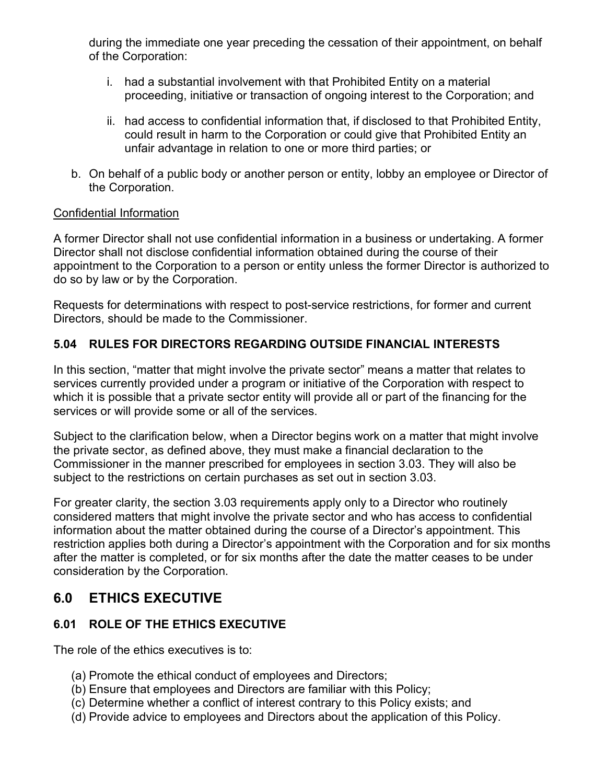during the immediate one year preceding the cessation of their appointment, on behalf of the Corporation:

- i. had a substantial involvement with that Prohibited Entity on a material proceeding, initiative or transaction of ongoing interest to the Corporation; and
- ii. had access to confidential information that, if disclosed to that Prohibited Entity, could result in harm to the Corporation or could give that Prohibited Entity an unfair advantage in relation to one or more third parties; or
- b. On behalf of a public body or another person or entity, lobby an employee or Director of the Corporation.

#### Confidential Information

A former Director shall not use confidential information in a business or undertaking. A former Director shall not disclose confidential information obtained during the course of their appointment to the Corporation to a person or entity unless the former Director is authorized to do so by law or by the Corporation.

Requests for determinations with respect to post-service restrictions, for former and current Directors, should be made to the Commissioner.

#### **5.04 RULES FOR DIRECTORS REGARDING OUTSIDE FINANCIAL INTERESTS**

In this section, "matter that might involve the private sector" means a matter that relates to services currently provided under a program or initiative of the Corporation with respect to which it is possible that a private sector entity will provide all or part of the financing for the services or will provide some or all of the services.

Subject to the clarification below, when a Director begins work on a matter that might involve the private sector, as defined above, they must make a financial declaration to the Commissioner in the manner prescribed for employees in section 3.03. They will also be subject to the restrictions on certain purchases as set out in section 3.03.

For greater clarity, the section 3.03 requirements apply only to a Director who routinely considered matters that might involve the private sector and who has access to confidential information about the matter obtained during the course of a Director's appointment. This restriction applies both during a Director's appointment with the Corporation and for six months after the matter is completed, or for six months after the date the matter ceases to be under consideration by the Corporation.

## **6.0 ETHICS EXECUTIVE**

### **6.01 ROLE OF THE ETHICS EXECUTIVE**

The role of the ethics executives is to:

- (a) Promote the ethical conduct of employees and Directors;
- (b) Ensure that employees and Directors are familiar with this Policy;
- (c) Determine whether a conflict of interest contrary to this Policy exists; and
- (d) Provide advice to employees and Directors about the application of this Policy.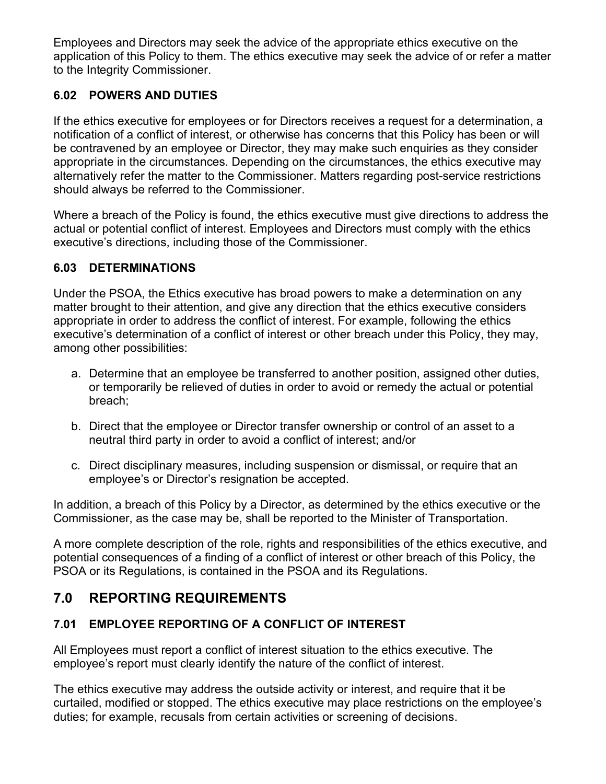Employees and Directors may seek the advice of the appropriate ethics executive on the application of this Policy to them. The ethics executive may seek the advice of or refer a matter to the Integrity Commissioner.

## **6.02 POWERS AND DUTIES**

If the ethics executive for employees or for Directors receives a request for a determination, a notification of a conflict of interest, or otherwise has concerns that this Policy has been or will be contravened by an employee or Director, they may make such enquiries as they consider appropriate in the circumstances. Depending on the circumstances, the ethics executive may alternatively refer the matter to the Commissioner. Matters regarding post-service restrictions should always be referred to the Commissioner.

Where a breach of the Policy is found, the ethics executive must give directions to address the actual or potential conflict of interest. Employees and Directors must comply with the ethics executive's directions, including those of the Commissioner.

### **6.03 DETERMINATIONS**

Under the PSOA, the Ethics executive has broad powers to make a determination on any matter brought to their attention, and give any direction that the ethics executive considers appropriate in order to address the conflict of interest. For example, following the ethics executive's determination of a conflict of interest or other breach under this Policy, they may, among other possibilities:

- a. Determine that an employee be transferred to another position, assigned other duties, or temporarily be relieved of duties in order to avoid or remedy the actual or potential breach;
- b. Direct that the employee or Director transfer ownership or control of an asset to a neutral third party in order to avoid a conflict of interest; and/or
- c. Direct disciplinary measures, including suspension or dismissal, or require that an employee's or Director's resignation be accepted.

In addition, a breach of this Policy by a Director, as determined by the ethics executive or the Commissioner, as the case may be, shall be reported to the Minister of Transportation.

A more complete description of the role, rights and responsibilities of the ethics executive, and potential consequences of a finding of a conflict of interest or other breach of this Policy, the PSOA or its Regulations, is contained in the PSOA and its Regulations.

## **7.0 REPORTING REQUIREMENTS**

### **7.01 EMPLOYEE REPORTING OF A CONFLICT OF INTEREST**

All Employees must report a conflict of interest situation to the ethics executive. The employee's report must clearly identify the nature of the conflict of interest.

The ethics executive may address the outside activity or interest, and require that it be curtailed, modified or stopped. The ethics executive may place restrictions on the employee's duties; for example, recusals from certain activities or screening of decisions.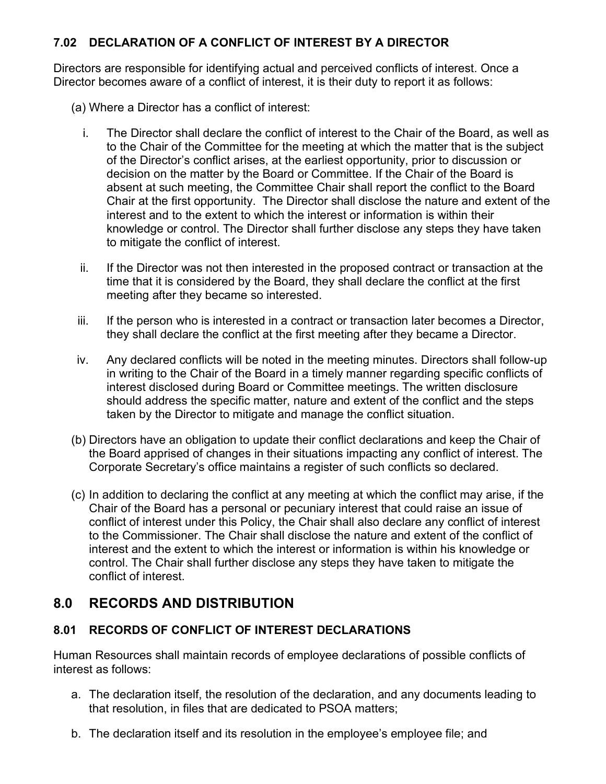### **7.02 DECLARATION OF A CONFLICT OF INTEREST BY A DIRECTOR**

Directors are responsible for identifying actual and perceived conflicts of interest. Once a Director becomes aware of a conflict of interest, it is their duty to report it as follows:

- (a) Where a Director has a conflict of interest:
	- i. The Director shall declare the conflict of interest to the Chair of the Board, as well as to the Chair of the Committee for the meeting at which the matter that is the subject of the Director's conflict arises, at the earliest opportunity, prior to discussion or decision on the matter by the Board or Committee. If the Chair of the Board is absent at such meeting, the Committee Chair shall report the conflict to the Board Chair at the first opportunity. The Director shall disclose the nature and extent of the interest and to the extent to which the interest or information is within their knowledge or control. The Director shall further disclose any steps they have taken to mitigate the conflict of interest.
	- ii. If the Director was not then interested in the proposed contract or transaction at the time that it is considered by the Board, they shall declare the conflict at the first meeting after they became so interested.
- iii. If the person who is interested in a contract or transaction later becomes a Director, they shall declare the conflict at the first meeting after they became a Director.
- iv. Any declared conflicts will be noted in the meeting minutes. Directors shall follow-up in writing to the Chair of the Board in a timely manner regarding specific conflicts of interest disclosed during Board or Committee meetings. The written disclosure should address the specific matter, nature and extent of the conflict and the steps taken by the Director to mitigate and manage the conflict situation.
- (b) Directors have an obligation to update their conflict declarations and keep the Chair of the Board apprised of changes in their situations impacting any conflict of interest. The Corporate Secretary's office maintains a register of such conflicts so declared.
- (c) In addition to declaring the conflict at any meeting at which the conflict may arise, if the Chair of the Board has a personal or pecuniary interest that could raise an issue of conflict of interest under this Policy, the Chair shall also declare any conflict of interest to the Commissioner. The Chair shall disclose the nature and extent of the conflict of interest and the extent to which the interest or information is within his knowledge or control. The Chair shall further disclose any steps they have taken to mitigate the conflict of interest.

## **8.0 RECORDS AND DISTRIBUTION**

### **8.01 RECORDS OF CONFLICT OF INTEREST DECLARATIONS**

Human Resources shall maintain records of employee declarations of possible conflicts of interest as follows:

- a. The declaration itself, the resolution of the declaration, and any documents leading to that resolution, in files that are dedicated to PSOA matters;
- b. The declaration itself and its resolution in the employee's employee file; and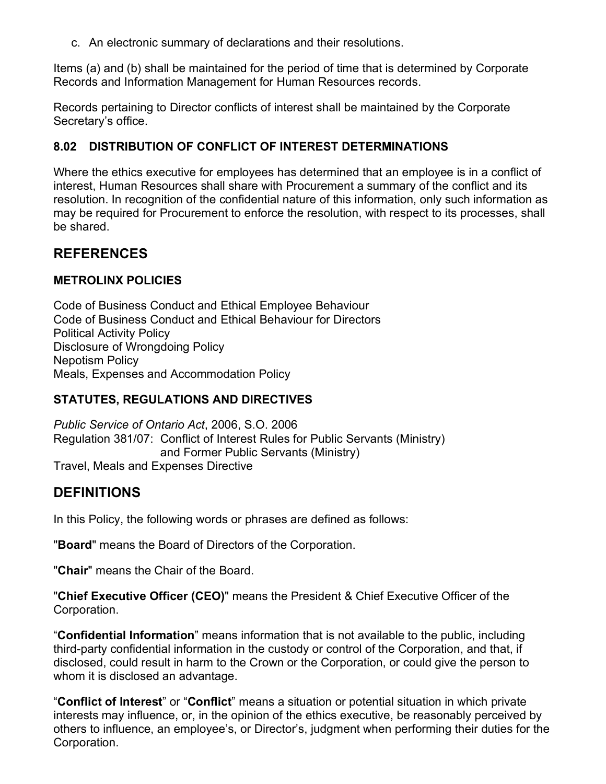c. An electronic summary of declarations and their resolutions.

Items (a) and (b) shall be maintained for the period of time that is determined by Corporate Records and Information Management for Human Resources records.

Records pertaining to Director conflicts of interest shall be maintained by the Corporate Secretary's office.

#### **8.02 DISTRIBUTION OF CONFLICT OF INTEREST DETERMINATIONS**

Where the ethics executive for employees has determined that an employee is in a conflict of interest, Human Resources shall share with Procurement a summary of the conflict and its resolution. In recognition of the confidential nature of this information, only such information as may be required for Procurement to enforce the resolution, with respect to its processes, shall be shared.

### **REFERENCES**

#### **METROLINX POLICIES**

Code of Business Conduct and Ethical Employee Behaviour Code of Business Conduct and Ethical Behaviour for Directors Political Activity Policy Disclosure of Wrongdoing Policy Nepotism Policy Meals, Expenses and Accommodation Policy

### **STATUTES, REGULATIONS AND DIRECTIVES**

*Public Service of Ontario Act*, 2006, S.O. 2006 Regulation 381/07: Conflict of Interest Rules for Public Servants (Ministry) and Former Public Servants (Ministry) Travel, Meals and Expenses Directive

### **DEFINITIONS**

In this Policy, the following words or phrases are defined as follows:

"**Board**" means the Board of Directors of the Corporation.

"**Chair**" means the Chair of the Board.

"**Chief Executive Officer (CEO)**" means the President & Chief Executive Officer of the Corporation.

"**Confidential Information**" means information that is not available to the public, including third-party confidential information in the custody or control of the Corporation, and that, if disclosed, could result in harm to the Crown or the Corporation, or could give the person to whom it is disclosed an advantage.

"**Conflict of Interest**" or "**Conflict**" means a situation or potential situation in which private interests may influence, or, in the opinion of the ethics executive, be reasonably perceived by others to influence, an employee's, or Director's, judgment when performing their duties for the Corporation.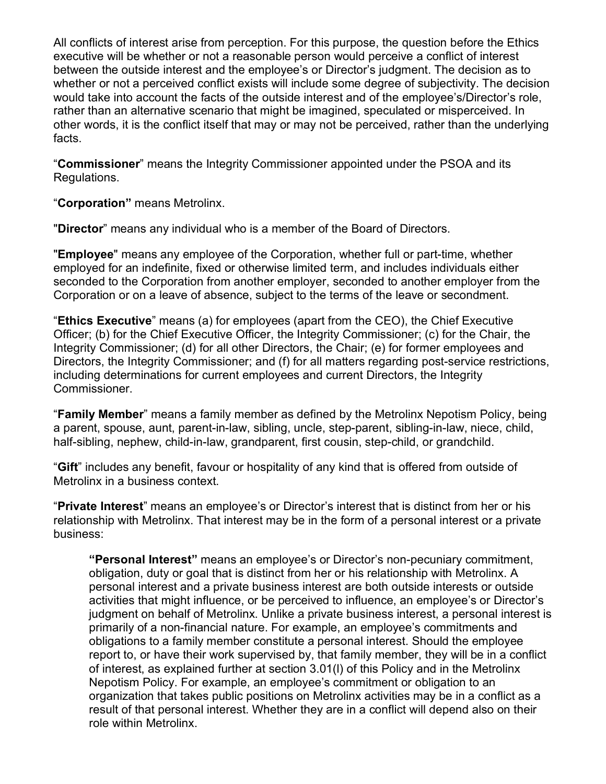All conflicts of interest arise from perception. For this purpose, the question before the Ethics executive will be whether or not a reasonable person would perceive a conflict of interest between the outside interest and the employee's or Director's judgment. The decision as to whether or not a perceived conflict exists will include some degree of subjectivity. The decision would take into account the facts of the outside interest and of the employee's/Director's role, rather than an alternative scenario that might be imagined, speculated or misperceived. In other words, it is the conflict itself that may or may not be perceived, rather than the underlying facts.

"**Commissioner**" means the Integrity Commissioner appointed under the PSOA and its Regulations.

"**Corporation"** means Metrolinx.

"**Director**" means any individual who is a member of the Board of Directors.

"**Employee**" means any employee of the Corporation, whether full or part-time, whether employed for an indefinite, fixed or otherwise limited term, and includes individuals either seconded to the Corporation from another employer, seconded to another employer from the Corporation or on a leave of absence, subject to the terms of the leave or secondment.

"**Ethics Executive**" means (a) for employees (apart from the CEO), the Chief Executive Officer; (b) for the Chief Executive Officer, the Integrity Commissioner; (c) for the Chair, the Integrity Commissioner; (d) for all other Directors, the Chair; (e) for former employees and Directors, the Integrity Commissioner; and (f) for all matters regarding post-service restrictions, including determinations for current employees and current Directors, the Integrity Commissioner.

"**Family Member**" means a family member as defined by the Metrolinx Nepotism Policy, being a parent, spouse, aunt, parent-in-law, sibling, uncle, step-parent, sibling-in-law, niece, child, half-sibling, nephew, child-in-law, grandparent, first cousin, step-child, or grandchild.

"**Gift**" includes any benefit, favour or hospitality of any kind that is offered from outside of Metrolinx in a business context.

"**Private Interest**" means an employee's or Director's interest that is distinct from her or his relationship with Metrolinx. That interest may be in the form of a personal interest or a private business:

**"Personal Interest"** means an employee's or Director's non-pecuniary commitment, obligation, duty or goal that is distinct from her or his relationship with Metrolinx. A personal interest and a private business interest are both outside interests or outside activities that might influence, or be perceived to influence, an employee's or Director's judgment on behalf of Metrolinx. Unlike a private business interest, a personal interest is primarily of a non-financial nature. For example, an employee's commitments and obligations to a family member constitute a personal interest. Should the employee report to, or have their work supervised by, that family member, they will be in a conflict of interest, as explained further at section 3.01(l) of this Policy and in the Metrolinx Nepotism Policy. For example, an employee's commitment or obligation to an organization that takes public positions on Metrolinx activities may be in a conflict as a result of that personal interest. Whether they are in a conflict will depend also on their role within Metrolinx.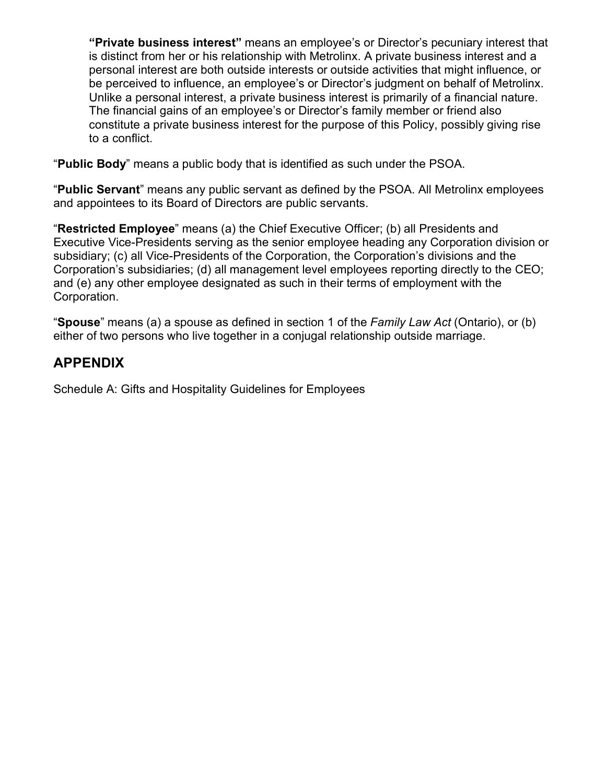**"Private business interest"** means an employee's or Director's pecuniary interest that is distinct from her or his relationship with Metrolinx. A private business interest and a personal interest are both outside interests or outside activities that might influence, or be perceived to influence, an employee's or Director's judgment on behalf of Metrolinx. Unlike a personal interest, a private business interest is primarily of a financial nature. The financial gains of an employee's or Director's family member or friend also constitute a private business interest for the purpose of this Policy, possibly giving rise to a conflict.

"**Public Body**" means a public body that is identified as such under the PSOA.

"**Public Servant**" means any public servant as defined by the PSOA. All Metrolinx employees and appointees to its Board of Directors are public servants.

"**Restricted Employee**" means (a) the Chief Executive Officer; (b) all Presidents and Executive Vice-Presidents serving as the senior employee heading any Corporation division or subsidiary; (c) all Vice-Presidents of the Corporation, the Corporation's divisions and the Corporation's subsidiaries; (d) all management level employees reporting directly to the CEO; and (e) any other employee designated as such in their terms of employment with the Corporation.

"**Spouse**" means (a) a spouse as defined in section 1 of the *Family Law Act* (Ontario), or (b) either of two persons who live together in a conjugal relationship outside marriage.

## **APPENDIX**

Schedule A: Gifts and Hospitality Guidelines for Employees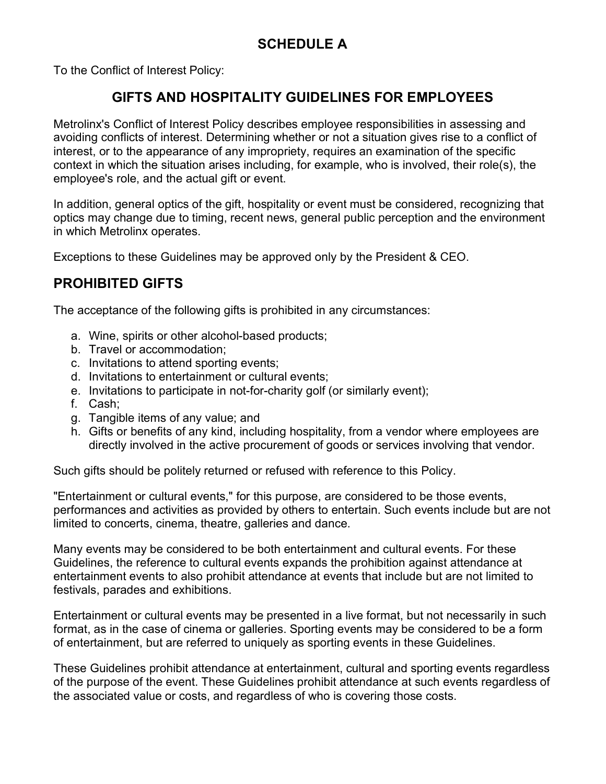# **SCHEDULE A**

To the Conflict of Interest Policy:

## **GIFTS AND HOSPITALITY GUIDELINES FOR EMPLOYEES**

Metrolinx's Conflict of Interest Policy describes employee responsibilities in assessing and avoiding conflicts of interest. Determining whether or not a situation gives rise to a conflict of interest, or to the appearance of any impropriety, requires an examination of the specific context in which the situation arises including, for example, who is involved, their role(s), the employee's role, and the actual gift or event.

In addition, general optics of the gift, hospitality or event must be considered, recognizing that optics may change due to timing, recent news, general public perception and the environment in which Metrolinx operates.

Exceptions to these Guidelines may be approved only by the President & CEO.

## **PROHIBITED GIFTS**

The acceptance of the following gifts is prohibited in any circumstances:

- a. Wine, spirits or other alcohol-based products;
- b. Travel or accommodation;
- c. Invitations to attend sporting events;
- d. Invitations to entertainment or cultural events;
- e. Invitations to participate in not-for-charity golf (or similarly event);
- f. Cash;
- g. Tangible items of any value; and
- h. Gifts or benefits of any kind, including hospitality, from a vendor where employees are directly involved in the active procurement of goods or services involving that vendor.

Such gifts should be politely returned or refused with reference to this Policy.

"Entertainment or cultural events," for this purpose, are considered to be those events, performances and activities as provided by others to entertain. Such events include but are not limited to concerts, cinema, theatre, galleries and dance.

Many events may be considered to be both entertainment and cultural events. For these Guidelines, the reference to cultural events expands the prohibition against attendance at entertainment events to also prohibit attendance at events that include but are not limited to festivals, parades and exhibitions.

Entertainment or cultural events may be presented in a live format, but not necessarily in such format, as in the case of cinema or galleries. Sporting events may be considered to be a form of entertainment, but are referred to uniquely as sporting events in these Guidelines.

These Guidelines prohibit attendance at entertainment, cultural and sporting events regardless of the purpose of the event. These Guidelines prohibit attendance at such events regardless of the associated value or costs, and regardless of who is covering those costs.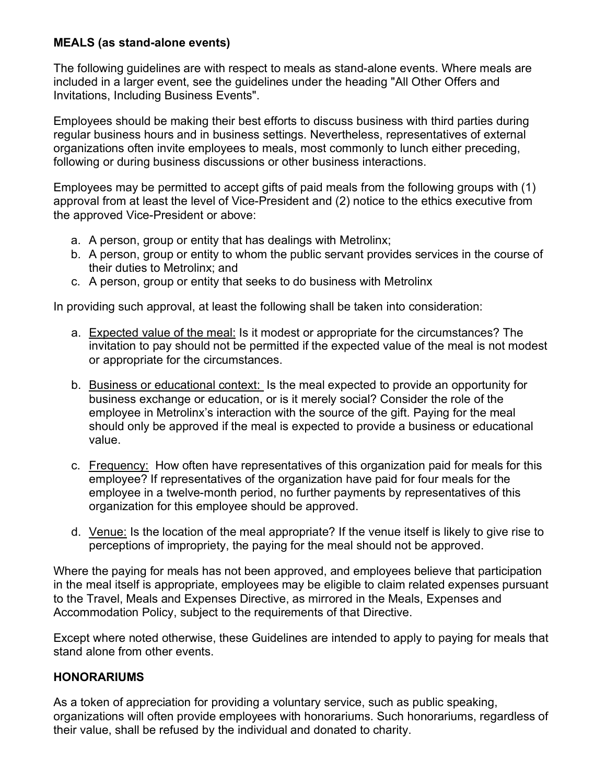### **MEALS (as stand-alone events)**

The following guidelines are with respect to meals as stand-alone events. Where meals are included in a larger event, see the guidelines under the heading "All Other Offers and Invitations, Including Business Events".

Employees should be making their best efforts to discuss business with third parties during regular business hours and in business settings. Nevertheless, representatives of external organizations often invite employees to meals, most commonly to lunch either preceding, following or during business discussions or other business interactions.

Employees may be permitted to accept gifts of paid meals from the following groups with (1) approval from at least the level of Vice-President and (2) notice to the ethics executive from the approved Vice-President or above:

- a. A person, group or entity that has dealings with Metrolinx;
- b. A person, group or entity to whom the public servant provides services in the course of their duties to Metrolinx; and
- c. A person, group or entity that seeks to do business with Metrolinx

In providing such approval, at least the following shall be taken into consideration:

- a. Expected value of the meal: Is it modest or appropriate for the circumstances? The invitation to pay should not be permitted if the expected value of the meal is not modest or appropriate for the circumstances.
- b. Business or educational context: Is the meal expected to provide an opportunity for business exchange or education, or is it merely social? Consider the role of the employee in Metrolinx's interaction with the source of the gift. Paying for the meal should only be approved if the meal is expected to provide a business or educational value.
- c. Frequency: How often have representatives of this organization paid for meals for this employee? If representatives of the organization have paid for four meals for the employee in a twelve-month period, no further payments by representatives of this organization for this employee should be approved.
- d. Venue: Is the location of the meal appropriate? If the venue itself is likely to give rise to perceptions of impropriety, the paying for the meal should not be approved.

Where the paying for meals has not been approved, and employees believe that participation in the meal itself is appropriate, employees may be eligible to claim related expenses pursuant to the Travel, Meals and Expenses Directive, as mirrored in the Meals, Expenses and Accommodation Policy, subject to the requirements of that Directive.

Except where noted otherwise, these Guidelines are intended to apply to paying for meals that stand alone from other events.

### **HONORARIUMS**

As a token of appreciation for providing a voluntary service, such as public speaking, organizations will often provide employees with honorariums. Such honorariums, regardless of their value, shall be refused by the individual and donated to charity.